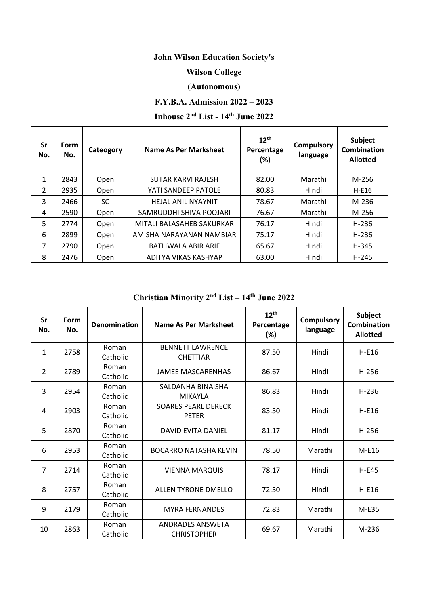# **John Wilson Education Society's**

### **Wilson College**

#### **(Autonomous)**

## **F.Y.B.A. Admission 2022 – 2023**

# **Inhouse 2nd List - 14th June 2022**

| Sr<br>No.      | <b>Form</b><br>No. | Cateogory | Name As Per Marksheet      | $12^{th}$<br>Percentage<br>(%) | <b>Compulsory</b><br>language | Subject<br><b>Combination</b><br><b>Allotted</b> |
|----------------|--------------------|-----------|----------------------------|--------------------------------|-------------------------------|--------------------------------------------------|
| 1              | 2843               | Open      | <b>SUTAR KARVI RAJESH</b>  | 82.00                          | Marathi                       | M-256                                            |
| $\overline{2}$ | 2935               | Open      | YATI SANDEEP PATOLE        | 80.83                          | Hindi                         | $H-E16$                                          |
| 3              | 2466               | <b>SC</b> | <b>HEJAL ANIL NYAYNIT</b>  | 78.67                          | Marathi                       | M-236                                            |
| 4              | 2590               | Open      | SAMRUDDHI SHIVA POOJARI    | 76.67                          | Marathi                       | M-256                                            |
| 5              | 2774               | Open      | MITALI BALASAHEB SAKURKAR  | 76.17                          | Hindi                         | H-236                                            |
| 6              | 2899               | Open      | AMISHA NARAYANAN NAMBIAR   | 75.17                          | Hindi                         | H-236                                            |
| 7              | 2790               | Open      | <b>BATLIWALA ABIR ARIF</b> | 65.67                          | Hindi                         | H-345                                            |
| 8              | 2476               | Open      | ADITYA VIKAS KASHYAP       | 63.00                          | Hindi                         | $H-245$                                          |

## **Christian Minority 2nd List – 14th June 2022**

| Sr<br>No. | Form<br>No. | <b>Denomination</b> | Name As Per Marksheet                         | $12^{th}$<br>Percentage<br>(%) | <b>Compulsory</b><br>language | <b>Subject</b><br><b>Combination</b><br><b>Allotted</b> |
|-----------|-------------|---------------------|-----------------------------------------------|--------------------------------|-------------------------------|---------------------------------------------------------|
| 1         | 2758        | Roman<br>Catholic   | <b>BENNETT LAWRENCE</b><br><b>CHETTIAR</b>    | 87.50                          | Hindi                         | $H-E16$                                                 |
| 2         | 2789        | Roman<br>Catholic   | <b>JAMEE MASCARENHAS</b>                      | 86.67                          | Hindi                         | $H-256$                                                 |
| 3         | 2954        | Roman<br>Catholic   | SALDANHA BINAISHA<br><b>MIKAYLA</b>           | 86.83                          | Hindi                         | $H-236$                                                 |
| 4         | 2903        | Roman<br>Catholic   | <b>SOARES PEARL DERECK</b><br><b>PETER</b>    | 83.50                          | Hindi                         | $H-E16$                                                 |
| 5         | 2870        | Roman<br>Catholic   | <b>DAVID EVITA DANIEL</b>                     | 81.17                          | Hindi                         | $H-256$                                                 |
| 6         | 2953        | Roman<br>Catholic   | <b>BOCARRO NATASHA KEVIN</b>                  | 78.50                          | Marathi                       | M-E16                                                   |
| 7         | 2714        | Roman<br>Catholic   | <b>VIENNA MARQUIS</b>                         | 78.17                          | Hindi                         | $H-E45$                                                 |
| 8         | 2757        | Roman<br>Catholic   | ALLEN TYRONE DMELLO                           | 72.50                          | Hindi                         | $H-E16$                                                 |
| 9         | 2179        | Roman<br>Catholic   | <b>MYRA FERNANDES</b>                         | 72.83                          | Marathi                       | M-E35                                                   |
| 10        | 2863        | Roman<br>Catholic   | <b>ANDRADES ANSWETA</b><br><b>CHRISTOPHER</b> | 69.67                          | Marathi                       | M-236                                                   |